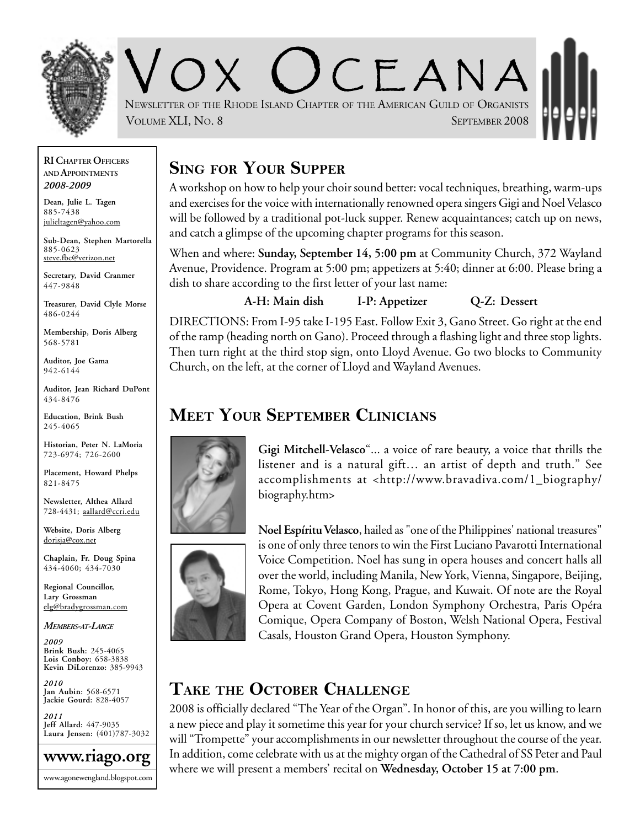

 $C_{\mathsf{F.ANA}}$ NEWSLETTER OF THE RHODE ISLAND CHAPTER OF THE AMERICAN GUILD OF ORGANISTS VOLUME XLI, NO. 8 SEPTEMBER 2008

#### **RI CHAPTER OFFICERS AND APPOINTMENTS** *2008-2009*

**Dean, Julie L. Tagen** 885-7438 julieltagen@yahoo.com

**Sub-Dean, Stephen Martorella** 885-0623 steve.fbc@verizon.net

**Secretary, David Cranmer** 447-9848

**Treasurer, David Clyle Morse** 486-0244

**Membership, Doris Alberg** 568-5781

**Auditor, Joe Gama** 942-6144

**Auditor, Jean Richard DuPont** 434-8476

**Education, Brink Bush** 245-4065

**Historian, Peter N. LaMoria** 723-6974; 726-2600

**Placement, Howard Phelps** 821-8475

**Newsletter, Althea Allard** 728-4431; aallard@ccri.edu

**Website**, **Doris Alberg** dorisja@cox.net

**Chaplain, Fr. Doug Spina** 434-4060; 434-7030

**Regional Councillor, Lary Grossman** elg@bradygrossman.com

*MEMBERS-AT-LARGE*

*2009* **Brink Bush:** 245-4065 **Lois Conboy:** 658-3838 **Kevin DiLorenzo:** 385-9943

*2010* **Jan Aubin:** 568-6571 **Jackie Gourd:** 828-4057

*2011* **Jeff Allard:** 447-9035 **Laura Jensen:** (401)787-3032



## **SING FOR YOUR SUPPER**

A workshop on how to help your choir sound better: vocal techniques, breathing, warm-ups and exercises for the voice with internationally renowned opera singers Gigi and Noel Velasco will be followed by a traditional pot-luck supper. Renew acquaintances; catch up on news, and catch a glimpse of the upcoming chapter programs for this season.

When and where: **Sunday, September 14, 5:00 pm** at Community Church, 372 Wayland Avenue, Providence. Program at 5:00 pm; appetizers at 5:40; dinner at 6:00. Please bring a dish to share according to the first letter of your last name:

**A-H: Main dish I-P: Appetizer Q-Z: Dessert**

DIRECTIONS: From I-95 take I-195 East. Follow Exit 3, Gano Street. Go right at the end of the ramp (heading north on Gano). Proceed through a flashing light and three stop lights. Then turn right at the third stop sign, onto Lloyd Avenue. Go two blocks to Community Church, on the left, at the corner of Lloyd and Wayland Avenues.

## **MEET YOUR SEPTEMBER CLINICIANS**



**Gigi Mitchell-Velasco**"... a voice of rare beauty, a voice that thrills the listener and is a natural gift… an artist of depth and truth." See accomplishments at <http://www.bravadiva.com/1\_biography/ biography.htm>

**Noel Espíritu Velasco**, hailed as "one of the Philippines' national treasures" is one of only three tenors to win the First Luciano Pavarotti International Voice Competition. Noel has sung in opera houses and concert halls all over the world, including Manila, New York, Vienna, Singapore, Beijing, Rome, Tokyo, Hong Kong, Prague, and Kuwait. Of note are the Royal Opera at Covent Garden, London Symphony Orchestra, Paris Opéra Comique, Opera Company of Boston, Welsh National Opera, Festival Casals, Houston Grand Opera, Houston Symphony.

## **TAKE THE OCTOBER CHALLENGE**

2008 is officially declared "The Year of the Organ". In honor of this, are you willing to learn a new piece and play it sometime this year for your church service? If so, let us know, and we will "Trompette" your accomplishments in our newsletter throughout the course of the year. In addition, come celebrate with us at the mighty organ of the Cathedral of SS Peter and Paul where we will present a members' recital on **Wednesday, October 15 at 7:00 pm**.